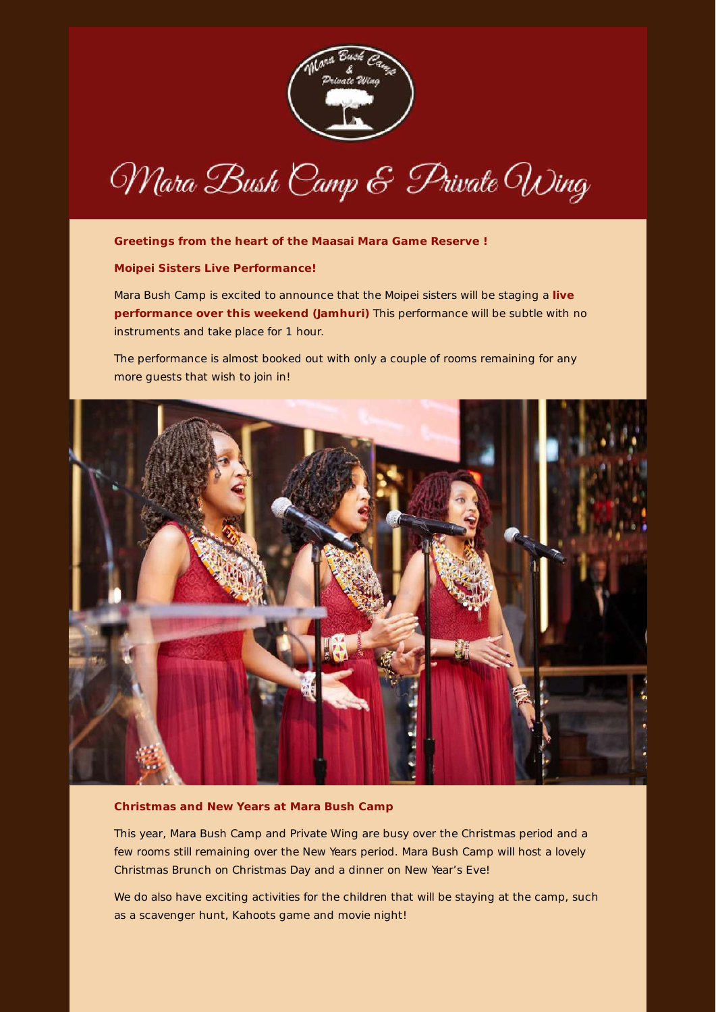

Mara Bush Camp & Private Wing

# **Greetings from the heart of the Maasai Mara Game Reserve !**

### **Moipei Sisters Live Performance!**

Mara Bush Camp is excited to announce that the Moipei sisters will be staging a **live performance over this weekend (Jamhuri)** This performance will be subtle with no instruments and take place for 1 hour.

The performance is almost booked out with only a couple of rooms remaining for any more guests that wish to join in!



### **Christmas and New Years at Mara Bush Camp**

This year, Mara Bush Camp and Private Wing are busy over the Christmas period and a few rooms still remaining over the New Years period. Mara Bush Camp will host a lovely Christmas Brunch on Christmas Day and a dinner on New Year's Eve!

We do also have exciting activities for the children that will be staying at the camp, such as a scavenger hunt, Kahoots game and movie night!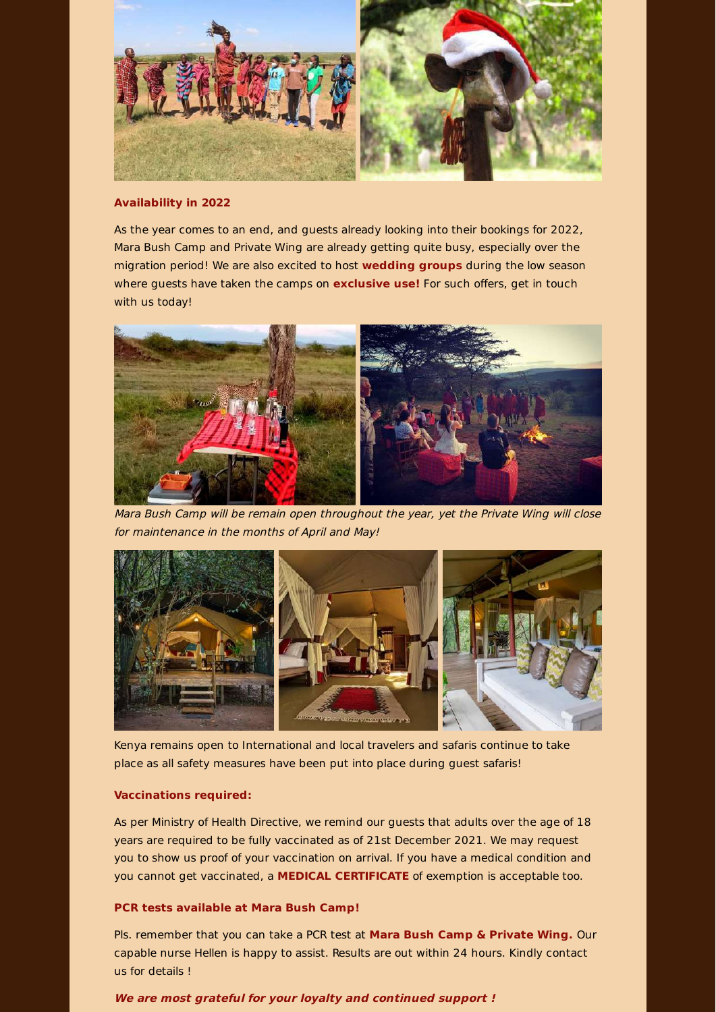

# **Availability in 2022**

As the year comes to an end, and guests already looking into their bookings for 2022, Mara Bush Camp and Private Wing are already getting quite busy, especially over the migration period! We are also excited to host **wedding groups** during the low season where guests have taken the camps on **exclusive use!** For such offers, get in touch with us today!



Mara Bush Camp will be remain open throughout the year, yet the Private Wing will close for maintenance in the months of April and May!



Kenya remains open to International and local travelers and safaris continue to take place as all safety measures have been put into place during guest safaris!

## **Vaccinations required:**

As per Ministry of Health Directive, we remind our guests that adults over the age of 18 years are required to be fully vaccinated as of 21st December 2021. We may request you to show us proof of your vaccination on arrival. If you have a medical condition and you cannot get vaccinated, a **MEDICAL CERTIFICATE** of exemption is acceptable too.

# **PCR tests available at Mara Bush Camp!**

Pls. remember that you can take a PCR test at **Mara Bush Camp & Private Wing.** Our capable nurse Hellen is happy to assist. Results are out within 24 hours. Kindly contact us for details !

## **We are most grateful for your loyalty and continued support !**